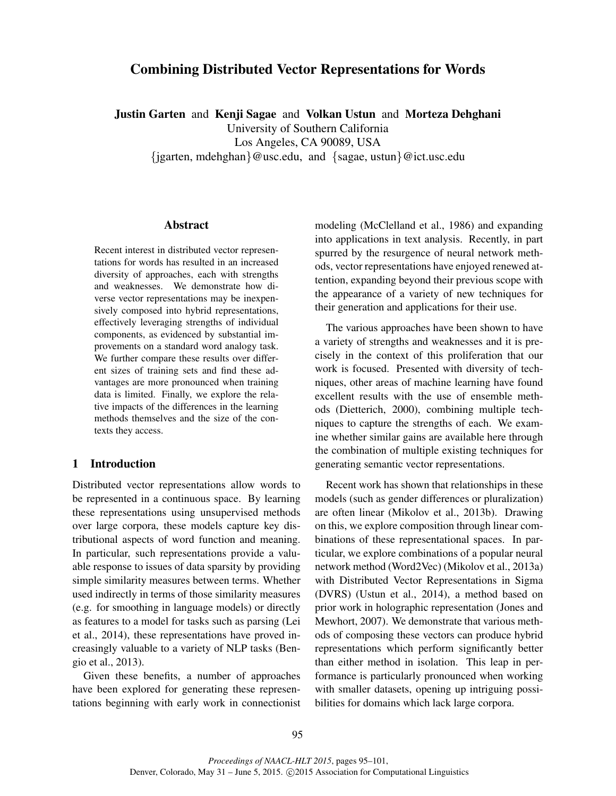# Combining Distributed Vector Representations for Words

Justin Garten and Kenji Sagae and Volkan Ustun and Morteza Dehghani University of Southern California

Los Angeles, CA 90089, USA

{jgarten, mdehghan}@usc.edu, and {sagae, ustun}@ict.usc.edu

#### Abstract

Recent interest in distributed vector representations for words has resulted in an increased diversity of approaches, each with strengths and weaknesses. We demonstrate how diverse vector representations may be inexpensively composed into hybrid representations, effectively leveraging strengths of individual components, as evidenced by substantial improvements on a standard word analogy task. We further compare these results over different sizes of training sets and find these advantages are more pronounced when training data is limited. Finally, we explore the relative impacts of the differences in the learning methods themselves and the size of the contexts they access.

## 1 Introduction

Distributed vector representations allow words to be represented in a continuous space. By learning these representations using unsupervised methods over large corpora, these models capture key distributional aspects of word function and meaning. In particular, such representations provide a valuable response to issues of data sparsity by providing simple similarity measures between terms. Whether used indirectly in terms of those similarity measures (e.g. for smoothing in language models) or directly as features to a model for tasks such as parsing (Lei et al., 2014), these representations have proved increasingly valuable to a variety of NLP tasks (Bengio et al., 2013).

Given these benefits, a number of approaches have been explored for generating these representations beginning with early work in connectionist modeling (McClelland et al., 1986) and expanding into applications in text analysis. Recently, in part spurred by the resurgence of neural network methods, vector representations have enjoyed renewed attention, expanding beyond their previous scope with the appearance of a variety of new techniques for their generation and applications for their use.

The various approaches have been shown to have a variety of strengths and weaknesses and it is precisely in the context of this proliferation that our work is focused. Presented with diversity of techniques, other areas of machine learning have found excellent results with the use of ensemble methods (Dietterich, 2000), combining multiple techniques to capture the strengths of each. We examine whether similar gains are available here through the combination of multiple existing techniques for generating semantic vector representations.

Recent work has shown that relationships in these models (such as gender differences or pluralization) are often linear (Mikolov et al., 2013b). Drawing on this, we explore composition through linear combinations of these representational spaces. In particular, we explore combinations of a popular neural network method (Word2Vec) (Mikolov et al., 2013a) with Distributed Vector Representations in Sigma (DVRS) (Ustun et al., 2014), a method based on prior work in holographic representation (Jones and Mewhort, 2007). We demonstrate that various methods of composing these vectors can produce hybrid representations which perform significantly better than either method in isolation. This leap in performance is particularly pronounced when working with smaller datasets, opening up intriguing possibilities for domains which lack large corpora.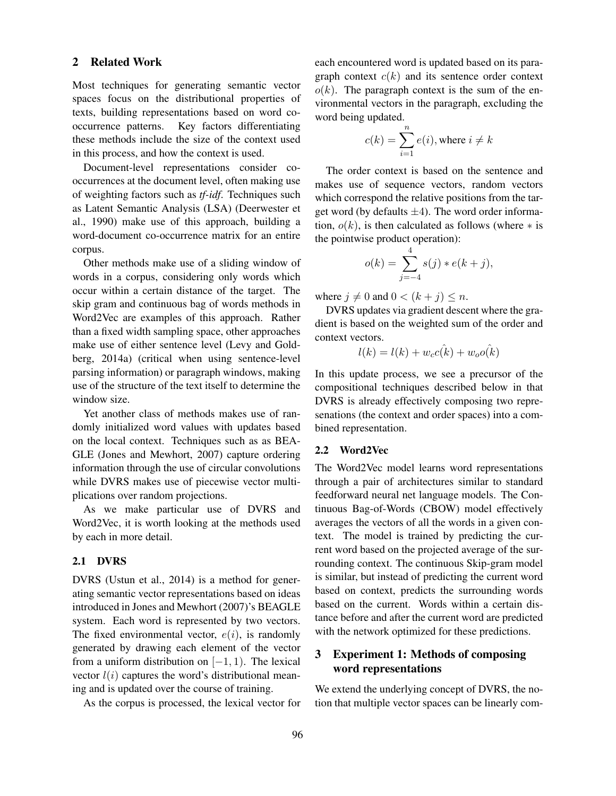## 2 Related Work

Most techniques for generating semantic vector spaces focus on the distributional properties of texts, building representations based on word cooccurrence patterns. Key factors differentiating these methods include the size of the context used in this process, and how the context is used.

Document-level representations consider cooccurrences at the document level, often making use of weighting factors such as *tf-idf*. Techniques such as Latent Semantic Analysis (LSA) (Deerwester et al., 1990) make use of this approach, building a word-document co-occurrence matrix for an entire corpus.

Other methods make use of a sliding window of words in a corpus, considering only words which occur within a certain distance of the target. The skip gram and continuous bag of words methods in Word2Vec are examples of this approach. Rather than a fixed width sampling space, other approaches make use of either sentence level (Levy and Goldberg, 2014a) (critical when using sentence-level parsing information) or paragraph windows, making use of the structure of the text itself to determine the window size.

Yet another class of methods makes use of randomly initialized word values with updates based on the local context. Techniques such as as BEA-GLE (Jones and Mewhort, 2007) capture ordering information through the use of circular convolutions while DVRS makes use of piecewise vector multiplications over random projections.

As we make particular use of DVRS and Word2Vec, it is worth looking at the methods used by each in more detail.

#### 2.1 DVRS

DVRS (Ustun et al., 2014) is a method for generating semantic vector representations based on ideas introduced in Jones and Mewhort (2007)'s BEAGLE system. Each word is represented by two vectors. The fixed environmental vector,  $e(i)$ , is randomly generated by drawing each element of the vector from a uniform distribution on  $[-1, 1)$ . The lexical vector  $l(i)$  captures the word's distributional meaning and is updated over the course of training.

As the corpus is processed, the lexical vector for

each encountered word is updated based on its paragraph context  $c(k)$  and its sentence order context  $o(k)$ . The paragraph context is the sum of the environmental vectors in the paragraph, excluding the word being updated.

$$
c(k) = \sum_{i=1}^{n} e(i)
$$
, where  $i \neq k$ 

The order context is based on the sentence and makes use of sequence vectors, random vectors which correspond the relative positions from the target word (by defaults  $\pm 4$ ). The word order information,  $o(k)$ , is then calculated as follows (where  $*$  is the pointwise product operation):

$$
o(k) = \sum_{j=-4}^{4} s(j) * e(k + j),
$$

where  $j \neq 0$  and  $0 < (k + j) \leq n$ .

DVRS updates via gradient descent where the gradient is based on the weighted sum of the order and context vectors.

$$
l(k) = l(k) + w_c c(k) + w_o o(k)
$$

In this update process, we see a precursor of the compositional techniques described below in that DVRS is already effectively composing two represenations (the context and order spaces) into a combined representation.

#### 2.2 Word2Vec

The Word2Vec model learns word representations through a pair of architectures similar to standard feedforward neural net language models. The Continuous Bag-of-Words (CBOW) model effectively averages the vectors of all the words in a given context. The model is trained by predicting the current word based on the projected average of the surrounding context. The continuous Skip-gram model is similar, but instead of predicting the current word based on context, predicts the surrounding words based on the current. Words within a certain distance before and after the current word are predicted with the network optimized for these predictions.

# 3 Experiment 1: Methods of composing word representations

We extend the underlying concept of DVRS, the notion that multiple vector spaces can be linearly com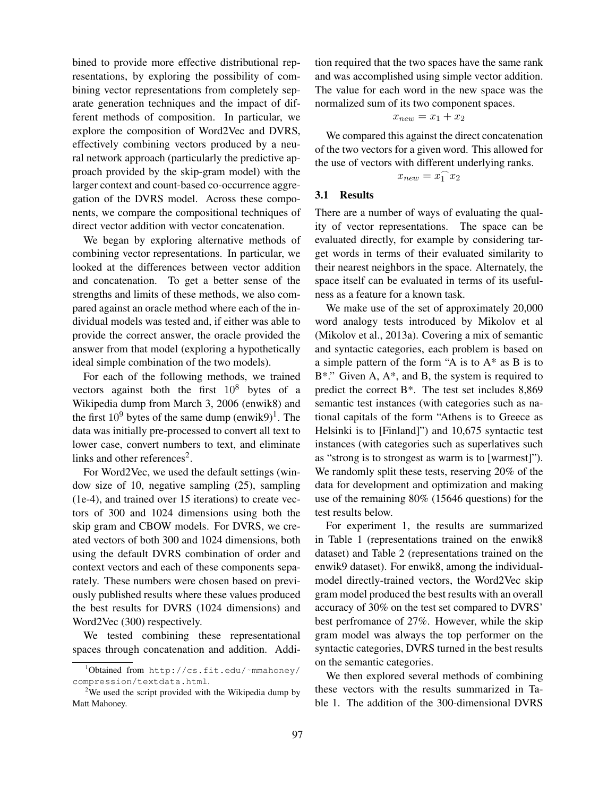bined to provide more effective distributional representations, by exploring the possibility of combining vector representations from completely separate generation techniques and the impact of different methods of composition. In particular, we explore the composition of Word2Vec and DVRS, effectively combining vectors produced by a neural network approach (particularly the predictive approach provided by the skip-gram model) with the larger context and count-based co-occurrence aggregation of the DVRS model. Across these components, we compare the compositional techniques of direct vector addition with vector concatenation.

We began by exploring alternative methods of combining vector representations. In particular, we looked at the differences between vector addition and concatenation. To get a better sense of the strengths and limits of these methods, we also compared against an oracle method where each of the individual models was tested and, if either was able to provide the correct answer, the oracle provided the answer from that model (exploring a hypothetically ideal simple combination of the two models).

For each of the following methods, we trained vectors against both the first  $10^8$  bytes of a Wikipedia dump from March 3, 2006 (enwik8) and the first  $10^9$  bytes of the same dump (enwik $9)^1$ . The data was initially pre-processed to convert all text to lower case, convert numbers to text, and eliminate links and other references<sup>2</sup>.

For Word2Vec, we used the default settings (window size of 10, negative sampling (25), sampling (1e-4), and trained over 15 iterations) to create vectors of 300 and 1024 dimensions using both the skip gram and CBOW models. For DVRS, we created vectors of both 300 and 1024 dimensions, both using the default DVRS combination of order and context vectors and each of these components separately. These numbers were chosen based on previously published results where these values produced the best results for DVRS (1024 dimensions) and Word2Vec (300) respectively.

We tested combining these representational spaces through concatenation and addition. Addition required that the two spaces have the same rank and was accomplished using simple vector addition. The value for each word in the new space was the normalized sum of its two component spaces.

$$
x_{new} = x_1 + x_2
$$

We compared this against the direct concatenation of the two vectors for a given word. This allowed for the use of vectors with different underlying ranks.

$$
x_{new} = x_1^\frown x_2
$$

#### 3.1 Results

There are a number of ways of evaluating the quality of vector representations. The space can be evaluated directly, for example by considering target words in terms of their evaluated similarity to their nearest neighbors in the space. Alternately, the space itself can be evaluated in terms of its usefulness as a feature for a known task.

We make use of the set of approximately 20,000 word analogy tests introduced by Mikolov et al (Mikolov et al., 2013a). Covering a mix of semantic and syntactic categories, each problem is based on a simple pattern of the form "A is to A\* as B is to B\*." Given A, A\*, and B, the system is required to predict the correct  $B^*$ . The test set includes 8,869 semantic test instances (with categories such as national capitals of the form "Athens is to Greece as Helsinki is to [Finland]") and 10,675 syntactic test instances (with categories such as superlatives such as "strong is to strongest as warm is to [warmest]"). We randomly split these tests, reserving 20% of the data for development and optimization and making use of the remaining 80% (15646 questions) for the test results below.

For experiment 1, the results are summarized in Table 1 (representations trained on the enwik8 dataset) and Table 2 (representations trained on the enwik9 dataset). For enwik8, among the individualmodel directly-trained vectors, the Word2Vec skip gram model produced the best results with an overall accuracy of 30% on the test set compared to DVRS' best perfromance of 27%. However, while the skip gram model was always the top performer on the syntactic categories, DVRS turned in the best results on the semantic categories.

We then explored several methods of combining these vectors with the results summarized in Table 1. The addition of the 300-dimensional DVRS

<sup>1</sup>Obtained from http://cs.fit.edu/~mmahoney/ compression/textdata.html.

<sup>&</sup>lt;sup>2</sup>We used the script provided with the Wikipedia dump by Matt Mahoney.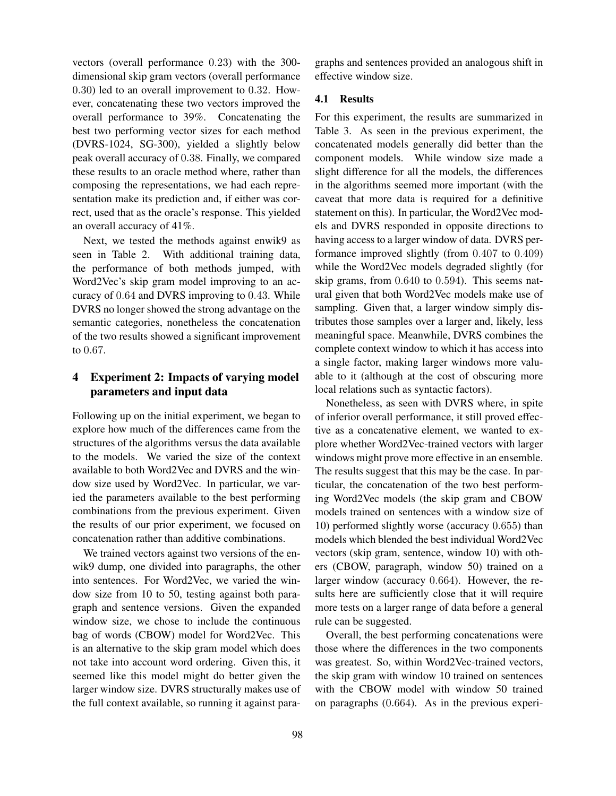vectors (overall performance 0.23) with the 300 dimensional skip gram vectors (overall performance 0.30) led to an overall improvement to 0.32. However, concatenating these two vectors improved the overall performance to 39%. Concatenating the best two performing vector sizes for each method (DVRS-1024, SG-300), yielded a slightly below peak overall accuracy of 0.38. Finally, we compared these results to an oracle method where, rather than composing the representations, we had each representation make its prediction and, if either was correct, used that as the oracle's response. This yielded an overall accuracy of 41%.

Next, we tested the methods against enwik9 as seen in Table 2. With additional training data, the performance of both methods jumped, with Word2Vec's skip gram model improving to an accuracy of 0.64 and DVRS improving to 0.43. While DVRS no longer showed the strong advantage on the semantic categories, nonetheless the concatenation of the two results showed a significant improvement to 0.67.

## 4 Experiment 2: Impacts of varying model parameters and input data

Following up on the initial experiment, we began to explore how much of the differences came from the structures of the algorithms versus the data available to the models. We varied the size of the context available to both Word2Vec and DVRS and the window size used by Word2Vec. In particular, we varied the parameters available to the best performing combinations from the previous experiment. Given the results of our prior experiment, we focused on concatenation rather than additive combinations.

We trained vectors against two versions of the enwik9 dump, one divided into paragraphs, the other into sentences. For Word2Vec, we varied the window size from 10 to 50, testing against both paragraph and sentence versions. Given the expanded window size, we chose to include the continuous bag of words (CBOW) model for Word2Vec. This is an alternative to the skip gram model which does not take into account word ordering. Given this, it seemed like this model might do better given the larger window size. DVRS structurally makes use of the full context available, so running it against paragraphs and sentences provided an analogous shift in effective window size.

## 4.1 Results

For this experiment, the results are summarized in Table 3. As seen in the previous experiment, the concatenated models generally did better than the component models. While window size made a slight difference for all the models, the differences in the algorithms seemed more important (with the caveat that more data is required for a definitive statement on this). In particular, the Word2Vec models and DVRS responded in opposite directions to having access to a larger window of data. DVRS performance improved slightly (from 0.407 to 0.409) while the Word2Vec models degraded slightly (for skip grams, from 0.640 to 0.594). This seems natural given that both Word2Vec models make use of sampling. Given that, a larger window simply distributes those samples over a larger and, likely, less meaningful space. Meanwhile, DVRS combines the complete context window to which it has access into a single factor, making larger windows more valuable to it (although at the cost of obscuring more local relations such as syntactic factors).

Nonetheless, as seen with DVRS where, in spite of inferior overall performance, it still proved effective as a concatenative element, we wanted to explore whether Word2Vec-trained vectors with larger windows might prove more effective in an ensemble. The results suggest that this may be the case. In particular, the concatenation of the two best performing Word2Vec models (the skip gram and CBOW models trained on sentences with a window size of 10) performed slightly worse (accuracy 0.655) than models which blended the best individual Word2Vec vectors (skip gram, sentence, window 10) with others (CBOW, paragraph, window 50) trained on a larger window (accuracy 0.664). However, the results here are sufficiently close that it will require more tests on a larger range of data before a general rule can be suggested.

Overall, the best performing concatenations were those where the differences in the two components was greatest. So, within Word2Vec-trained vectors, the skip gram with window 10 trained on sentences with the CBOW model with window 50 trained on paragraphs (0.664). As in the previous experi-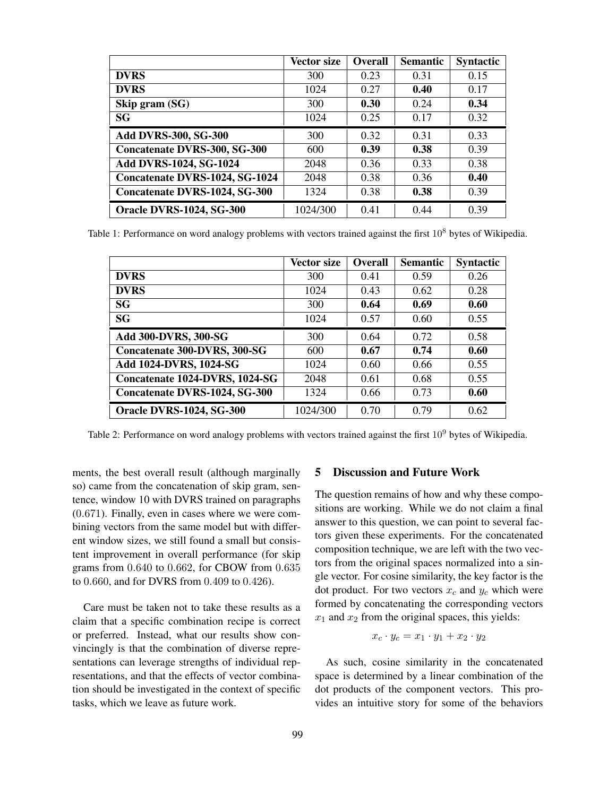|                                      | <b>Vector size</b> | <b>Overall</b> | <b>Semantic</b> | <b>Syntactic</b> |
|--------------------------------------|--------------------|----------------|-----------------|------------------|
| <b>DVRS</b>                          | 300                | 0.23           | 0.31            | 0.15             |
| <b>DVRS</b>                          | 1024               | 0.27           | 0.40            | 0.17             |
| Skip gram (SG)                       | 300                | 0.30           | 0.24            | 0.34             |
| <b>SG</b>                            | 1024               | 0.25           | 0.17            | 0.32             |
| <b>Add DVRS-300, SG-300</b>          | 300                | 0.32           | 0.31            | 0.33             |
| <b>Concatenate DVRS-300, SG-300</b>  | 600                | 0.39           | 0.38            | 0.39             |
| Add DVRS-1024, SG-1024               | 2048               | 0.36           | 0.33            | 0.38             |
| Concatenate DVRS-1024, SG-1024       | 2048               | 0.38           | 0.36            | 0.40             |
| <b>Concatenate DVRS-1024, SG-300</b> | 1324               | 0.38           | 0.38            | 0.39             |
| <b>Oracle DVRS-1024, SG-300</b>      | 1024/300           | 0.41           | 0.44            | 0.39             |

Table 1: Performance on word analogy problems with vectors trained against the first 10<sup>8</sup> bytes of Wikipedia.

|                                      | <b>Vector size</b> | <b>Overall</b> | <b>Semantic</b> | <b>Syntactic</b> |
|--------------------------------------|--------------------|----------------|-----------------|------------------|
| <b>DVRS</b>                          | 300                | 0.41           | 0.59            | 0.26             |
| <b>DVRS</b>                          | 1024               | 0.43           | 0.62            | 0.28             |
| <b>SG</b>                            | 300                | 0.64           | 0.69            | 0.60             |
| <b>SG</b>                            | 1024               | 0.57           | 0.60            | 0.55             |
| Add 300-DVRS, 300-SG                 | 300                | 0.64           | 0.72            | 0.58             |
| Concatenate 300-DVRS, 300-SG         | 600                | 0.67           | 0.74            | 0.60             |
| Add 1024-DVRS, 1024-SG               | 1024               | 0.60           | 0.66            | 0.55             |
| Concatenate 1024-DVRS, 1024-SG       | 2048               | 0.61           | 0.68            | 0.55             |
| <b>Concatenate DVRS-1024, SG-300</b> | 1324               | 0.66           | 0.73            | 0.60             |
| <b>Oracle DVRS-1024, SG-300</b>      | 1024/300           | 0.70           | 0.79            | 0.62             |

Table 2: Performance on word analogy problems with vectors trained against the first 10<sup>9</sup> bytes of Wikipedia.

ments, the best overall result (although marginally so) came from the concatenation of skip gram, sentence, window 10 with DVRS trained on paragraphs (0.671). Finally, even in cases where we were combining vectors from the same model but with different window sizes, we still found a small but consistent improvement in overall performance (for skip grams from 0.640 to 0.662, for CBOW from 0.635 to 0.660, and for DVRS from 0.409 to 0.426).

Care must be taken not to take these results as a claim that a specific combination recipe is correct or preferred. Instead, what our results show convincingly is that the combination of diverse representations can leverage strengths of individual representations, and that the effects of vector combination should be investigated in the context of specific tasks, which we leave as future work.

## 5 Discussion and Future Work

The question remains of how and why these compositions are working. While we do not claim a final answer to this question, we can point to several factors given these experiments. For the concatenated composition technique, we are left with the two vectors from the original spaces normalized into a single vector. For cosine similarity, the key factor is the dot product. For two vectors  $x_c$  and  $y_c$  which were formed by concatenating the corresponding vectors  $x_1$  and  $x_2$  from the original spaces, this yields:

$$
x_c \cdot y_c = x_1 \cdot y_1 + x_2 \cdot y_2
$$

As such, cosine similarity in the concatenated space is determined by a linear combination of the dot products of the component vectors. This provides an intuitive story for some of the behaviors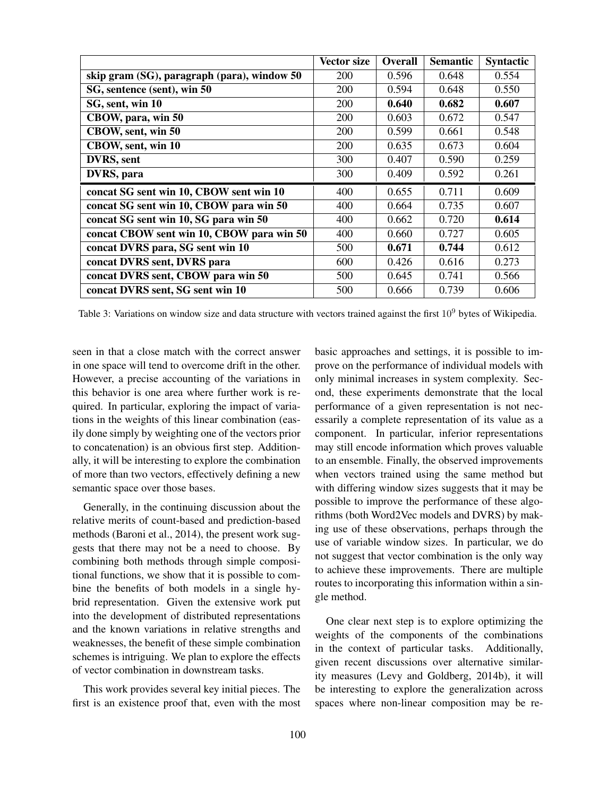|                                             | Vector size | <b>Overall</b> | <b>Semantic</b> | <b>Syntactic</b> |
|---------------------------------------------|-------------|----------------|-----------------|------------------|
| skip gram (SG), paragraph (para), window 50 | 200         | 0.596          | 0.648           | 0.554            |
| SG, sentence (sent), win 50                 | 200         | 0.594          | 0.648           | 0.550            |
| SG, sent, win 10                            | 200         | 0.640          | 0.682           | 0.607            |
| CBOW, para, win 50                          | <b>200</b>  | 0.603          | 0.672           | 0.547            |
| CBOW, sent, win 50                          | <b>200</b>  | 0.599          | 0.661           | 0.548            |
| CBOW, sent, win 10                          | 200         | 0.635          | 0.673           | 0.604            |
| DVRS, sent                                  | 300         | 0.407          | 0.590           | 0.259            |
| DVRS, para                                  | 300         | 0.409          | 0.592           | 0.261            |
| concat SG sent win 10, CBOW sent win 10     | 400         | 0.655          | 0.711           | 0.609            |
| concat SG sent win 10, CBOW para win 50     | 400         | 0.664          | 0.735           | 0.607            |
| concat SG sent win 10, SG para win 50       | 400         | 0.662          | 0.720           | 0.614            |
| concat CBOW sent win 10, CBOW para win 50   | 400         | 0.660          | 0.727           | 0.605            |
| concat DVRS para, SG sent win 10            | 500         | 0.671          | 0.744           | 0.612            |
| concat DVRS sent, DVRS para                 | 600         | 0.426          | 0.616           | 0.273            |
| concat DVRS sent, CBOW para win 50          | 500         | 0.645          | 0.741           | 0.566            |
| concat DVRS sent, SG sent win 10            | 500         | 0.666          | 0.739           | 0.606            |

Table 3: Variations on window size and data structure with vectors trained against the first  $10<sup>9</sup>$  bytes of Wikipedia.

seen in that a close match with the correct answer in one space will tend to overcome drift in the other. However, a precise accounting of the variations in this behavior is one area where further work is required. In particular, exploring the impact of variations in the weights of this linear combination (easily done simply by weighting one of the vectors prior to concatenation) is an obvious first step. Additionally, it will be interesting to explore the combination of more than two vectors, effectively defining a new semantic space over those bases.

Generally, in the continuing discussion about the relative merits of count-based and prediction-based methods (Baroni et al., 2014), the present work suggests that there may not be a need to choose. By combining both methods through simple compositional functions, we show that it is possible to combine the benefits of both models in a single hybrid representation. Given the extensive work put into the development of distributed representations and the known variations in relative strengths and weaknesses, the benefit of these simple combination schemes is intriguing. We plan to explore the effects of vector combination in downstream tasks.

This work provides several key initial pieces. The first is an existence proof that, even with the most basic approaches and settings, it is possible to improve on the performance of individual models with only minimal increases in system complexity. Second, these experiments demonstrate that the local performance of a given representation is not necessarily a complete representation of its value as a component. In particular, inferior representations may still encode information which proves valuable to an ensemble. Finally, the observed improvements when vectors trained using the same method but with differing window sizes suggests that it may be possible to improve the performance of these algorithms (both Word2Vec models and DVRS) by making use of these observations, perhaps through the use of variable window sizes. In particular, we do not suggest that vector combination is the only way to achieve these improvements. There are multiple routes to incorporating this information within a single method.

One clear next step is to explore optimizing the weights of the components of the combinations in the context of particular tasks. Additionally, given recent discussions over alternative similarity measures (Levy and Goldberg, 2014b), it will be interesting to explore the generalization across spaces where non-linear composition may be re